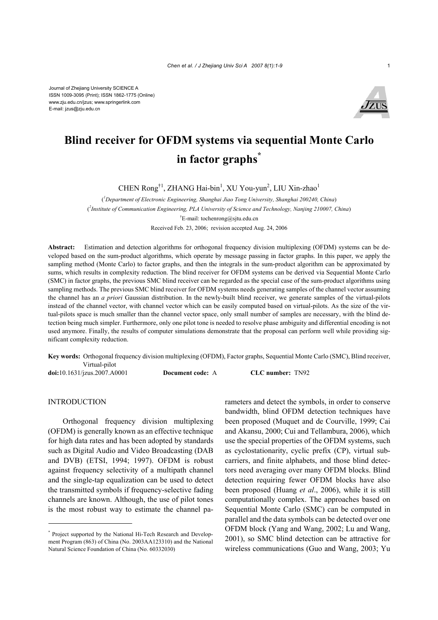

# **Blind receiver for OFDM systems via sequential Monte Carlo in factor graphs\***

CHEN Rong<sup>†1</sup>, ZHANG Hai-bin<sup>1</sup>, XU You-yun<sup>2</sup>, LIU Xin-zhao<sup>1</sup>

( *1 Department of Electronic Engineering, Shanghai Jiao Tong University, Shanghai 200240, China*) ( *2 Institute of Communication Engineering, PLA University of Science and Technology, Nanjing 210007, China*) † E-mail: tochenrong@sjtu.edu.cn Received Feb. 23, 2006; revision accepted Aug. 24, 2006

**Abstract:** Estimation and detection algorithms for orthogonal frequency division multiplexing (OFDM) systems can be developed based on the sum-product algorithms, which operate by message passing in factor graphs. In this paper, we apply the sampling method (Monte Carlo) to factor graphs, and then the integrals in the sum-product algorithm can be approximated by sums, which results in complexity reduction. The blind receiver for OFDM systems can be derived via Sequential Monte Carlo (SMC) in factor graphs, the previous SMC blind receiver can be regarded as the special case of the sum-product algorithms using sampling methods. The previous SMC blind receiver for OFDM systems needs generating samples of the channel vector assuming the channel has an *a priori* Gaussian distribution. In the newly-built blind receiver, we generate samples of the virtual-pilots instead of the channel vector, with channel vector which can be easily computed based on virtual-pilots. As the size of the virtual-pilots space is much smaller than the channel vector space, only small number of samples are necessary, with the blind detection being much simpler. Furthermore, only one pilot tone is needed to resolve phase ambiguity and differential encoding is not used anymore. Finally, the results of computer simulations demonstrate that the proposal can perform well while providing significant complexity reduction.

**Key words:** Orthogonal frequency division multiplexing (OFDM), Factor graphs, Sequential Monte Carlo (SMC), Blind receiver, Virtual-pilot

**doi:**10.1631/jzus.2007.A0001 **Document code:** A **CLC number:** TN92

**INTRODUCTION** 

Orthogonal frequency division multiplexing (OFDM) is generally known as an effective technique for high data rates and has been adopted by standards such as Digital Audio and Video Broadcasting (DAB and DVB) (ETSI, 1994; 1997). OFDM is robust against frequency selectivity of a multipath channel and the single-tap equalization can be used to detect the transmitted symbols if frequency-selective fading channels are known. Although, the use of pilot tones is the most robust way to estimate the channel parameters and detect the symbols, in order to conserve bandwidth, blind OFDM detection techniques have been proposed (Muquet and de Courville, 1999; Cai and Akansu, 2000; Cui and Tellambura, 2006), which use the special properties of the OFDM systems, such as cyclostationarity, cyclic prefix (CP), virtual subcarriers, and finite alphabets, and those blind detectors need averaging over many OFDM blocks. Blind detection requiring fewer OFDM blocks have also been proposed (Huang *et al*., 2006), while it is still computationally complex. The approaches based on Sequential Monte Carlo (SMC) can be computed in parallel and the data symbols can be detected over one OFDM block (Yang and Wang, 2002; Lu and Wang, 2001), so SMC blind detection can be attractive for wireless communications (Guo and Wang, 2003; Yu

<sup>\*</sup> Project supported by the National Hi-Tech Research and Development Program (863) of China (No. 2003AA123310) and the National Natural Science Foundation of China (No. 60332030)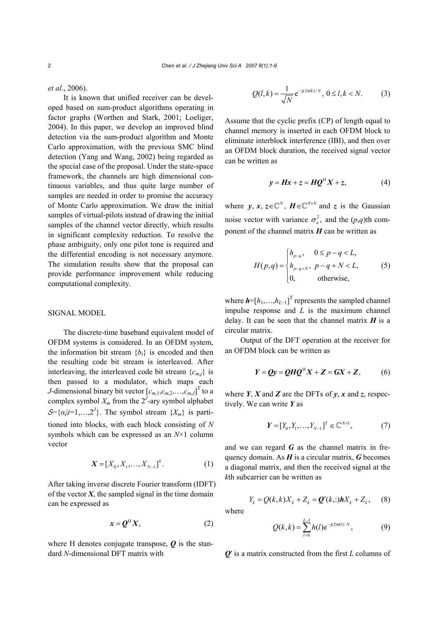2 *Chen et al. / J Zhejiang Univ Sci A 2007 8(1):1-9*

*et al*., 2006).

It is known that unified receiver can be developed based on sum-product algorithms operating in factor graphs (Worthen and Stark, 2001; Loeliger, 2004). In this paper, we develop an improved blind detection via the sum-product algorithm and Monte Carlo approximation, with the previous SMC blind detection (Yang and Wang, 2002) being regarded as the special case of the proposal. Under the state-space framework, the channels are high dimensional continuous variables, and thus quite large number of samples are needed in order to promise the accuracy of Monte Carlo approximation. We draw the initial samples of virtual-pilots instead of drawing the initial samples of the channel vector directly, which results in significant complexity reduction. To resolve the phase ambiguity, only one pilot tone is required and the differential encoding is not necessary anymore. The simulation results show that the proposal can provide performance improvement while reducing computational complexity.

## SIGNAL MODEL

The discrete-time baseband equivalent model of OFDM systems is considered. In an OFDM system, the information bit stream  ${b_i}$  is encoded and then the resulting code bit stream is interleaved. After interleaving, the interleaved code bit stream  $\{c_{m,i}\}\$ is then passed to a modulator, which maps each *J*-dimensional binary bit vector  $[c_{m,1}, c_{m,2}, \ldots, c_{m,J}]$ <sup>T</sup> to a complex symbol  $X_m$  from the  $2^J$ -ary symbol alphabet  $S = \{\alpha_i | i=1,\ldots,2^J\}$ . The symbol stream  $\{X_m\}$  is partitioned into blocks, with each block consisting of *N* symbols which can be expressed as an *N*×1 column vector

$$
\mathbf{X} = [X_0, X_1, \dots, X_{N-1}]^{\mathrm{T}}.
$$
 (1)

After taking inverse discrete Fourier transform (IDFT) of the vector  $X$ , the sampled signal in the time domain can be expressed as

$$
x = \mathcal{Q}^{\mathrm{H}} X,\tag{2}
$$

where H denotes conjugate transpose,  $\boldsymbol{O}$  is the standard *N*-dimensional DFT matrix with

$$
Q(l,k) = \frac{1}{\sqrt{N}} e^{-j(2\pi lk)/N}, \ 0 \le l, k < N. \tag{3}
$$

Assume that the cyclic prefix (CP) of length equal to channel memory is inserted in each OFDM block to eliminate interblock interference (IBI), and then over an OFDM block duration, the received signal vector can be written as

$$
y = Hx + z = HQ^{\mathrm{H}}X + z, \tag{4}
$$

where  $v, x, z \in \mathbb{C}^N$ ,  $H \in \mathbb{C}^{N \times N}$  and *z* is the Gaussian noise vector with variance  $\sigma_n^2$ , and the  $(p,q)$ th component of the channel matrix  $H$  can be written as

$$
H(p,q) = \begin{cases} h_{p-q}, & 0 \le p-q < L, \\ h_{p-q+N}, & p-q+N < L, \\ 0, & \text{otherwise,} \end{cases}
$$
 (5)

where  $h=[h_1,\ldots,h_{L-1}]$ <sup>T</sup> represents the sampled channel impulse response and *L* is the maximum channel delay. It can be seen that the channel matrix  $H$  is a circular matrix.

Output of the DFT operation at the receiver for an OFDM block can be written as

$$
Y = Qy = QHQ^{\mathrm{H}}X + Z = GX + Z, \qquad (6)
$$

where *Y*, *X* and *Z* are the DFTs of *y*, *x* and *z*, respectively. We can write *Y* as

$$
\boldsymbol{Y} = [Y_0, Y_1, \dots, Y_{N-1}]^{\mathrm{T}} \in \mathbb{C}^{N \times 1},\tag{7}
$$

and we can regard *G* as the channel matrix in frequency domain. As *H* is a circular matrix, *G* becomes a diagonal matrix, and then the received signal at the *k*th subcarrier can be written as

$$
Y_k = Q(k,k)X_k + Z_k = \mathbf{Q}'(k,:)hX_k + Z_k, \quad (8)
$$

where

$$
Q(k,k) = \sum_{l=0}^{L-1} h(l) e^{-j(2\pi kl)/N}, \qquad (9)
$$

*Q*′ is a matrix constructed from the first *L* columns of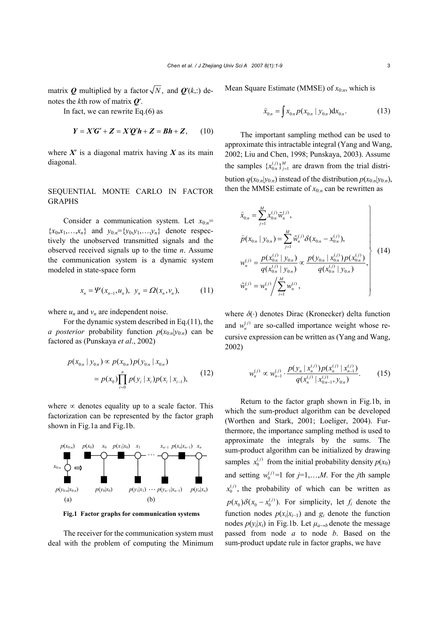matrix **Q** multiplied by a factor  $\sqrt{N}$ , and  $\mathbf{Q}'(k,.)$  denotes the *k*th row of matrix *Q*′.

In fact, we can rewrite Eq.(6) as

$$
Y = X'G' + Z = X'Q'h + Z = Bh + Z, \qquad (10)
$$

where  $X'$  is a diagonal matrix having  $X$  as its main diagonal.

## SEQUENTIAL MONTE CARLO IN FACTOR GRAPHS

Consider a communication system. Let *x*0:*n*=  ${x_0, x_1,...,x_n}$  and  ${y_{0:n}} = {y_0, y_1,...,y_n}$  denote respectively the unobserved transmitted signals and the observed received signals up to the time *n*. Assume the communication system is a dynamic system modeled in state-space form

$$
x_n = \Psi(x_{n-1}, u_n), \ \ y_n = \Omega(x_n, v_n), \tag{11}
$$

where  $u_n$  and  $v_n$  are independent noise.

For the dynamic system described in Eq.(11), the *a posterior* probability function  $p(x_{0:n}|y_{0:n})$  can be factored as (Punskaya *et al*., 2002)

$$
p(x_{0:n} | y_{0:n}) \propto p(x_{0:n}) p(y_{0:n} | x_{0:n})
$$
  
=  $p(x_0) \prod_{i=0}^{n} p(y_i | x_i) p(x_i | x_{i-1}),$  (12)

where  $\infty$  denotes equality up to a scale factor. This factorization can be represented by the factor graph shown in Fig.1a and Fig.1b.



**Fig.1 Factor graphs for communication systems**

The receiver for the communication system must deal with the problem of computing the Minimum Mean Square Estimate (MMSE) of  $x_{0n}$ , which is

$$
\widehat{x}_{0:n} = \int x_{0:n} p(x_{0:n} \mid y_{0:n}) \mathrm{d}x_{0:n}.\tag{13}
$$

The important sampling method can be used to approximate this intractable integral (Yang and Wang, 2002; Liu and Chen, 1998; Punskaya, 2003). Assume the samples  $\{x_{0:n}^{(j)}\}_{j=1}^M$  are drawn from the trial distribution  $q(x_{0:n}|y_{0:n})$  instead of the distribution  $p(x_{0:n}|y_{0:n})$ , then the MMSE estimate of  $x_{0:n}$  can be rewritten as

$$
\hat{x}_{0:n} = \sum_{j=1}^{M} x_{0:n}^{(j)} \tilde{w}_{n}^{(j)},
$$
\n
$$
\hat{p}(x_{0:n} | y_{0:n}) = \sum_{j=1}^{M} \tilde{w}_{n}^{(j)} \delta(x_{0:n} - x_{0:n}^{(j)}),
$$
\n
$$
w_{n}^{(j)} = \frac{p(x_{0:n}^{(j)} | y_{0:n})}{q(x_{0:n}^{(j)} | y_{0:n})} \propto \frac{p(y_{0:n} | x_{0:n}^{(j)}) p(x_{0:n}^{(j)})}{q(x_{0:n}^{(j)} | y_{0:n})},
$$
\n
$$
\tilde{w}_{n}^{(j)} = w_{n}^{(j)} / \sum_{i=1}^{M} w_{n}^{(i)},
$$
\n(14)

where *δ*(⋅) denotes Dirac (Kronecker) delta function and  $w_{n}^{(j)}$  are so-called importance weight whose recursive expression can be written as (Yang and Wang, 2002)

$$
w_n^{(j)} \propto w_{n-1}^{(j)} \cdot \frac{p(y_n | x_n^{(j)}) p(x_n^{(j)} | x_{n-1}^{(j)})}{q(x_n^{(j)} | x_{0:n-1}^{(j)}, y_{0:n})}. \hspace{1cm} (15)
$$

Return to the factor graph shown in Fig.1b, in which the sum-product algorithm can be developed (Worthen and Stark, 2001; Loeliger, 2004). Furthermore, the importance sampling method is used to approximate the integrals by the sums. The sum-product algorithm can be initialized by drawing samples  $x_0^{(j)}$  from the initial probability density  $p(x_0)$ and setting  $w_0^{(j)} = 1$  for  $j = 1, \ldots, M$ . For the *j*th sample  $x_0^{(j)}$ , the probability of which can be written as  $p(x_0)\delta(x_0 - x_0^{(j)})$ . For simplicity, let  $f_i$  denote the function nodes  $p(x_i|x_{i-1})$  and  $g_i$  denote the function nodes  $p(y_i|x_i)$  in Fig.1b. Let  $\mu_{a\rightarrow b}$  denote the message passed from node *a* to node *b*. Based on the sum-product update rule in factor graphs, we have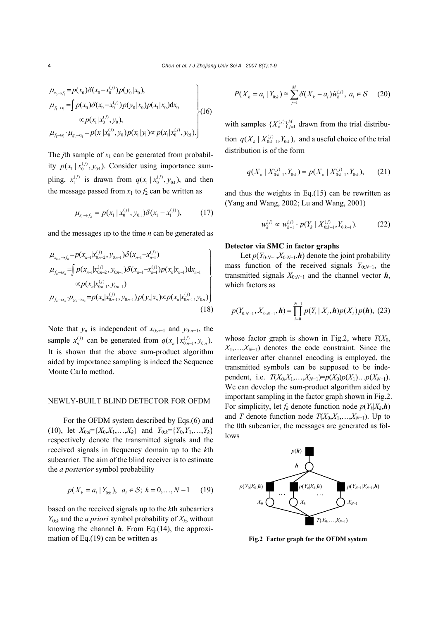$$
\mu_{x_0 \to f_1} = p(x_0) \delta(x_0 - x_0^{(j)}) p(y_0 | x_0), \n\mu_{f_1 \to x_1} = \int p(x_0) \delta(x_0 - x_0^{(j)}) p(y_0 | x_0) p(x_1 | x_0) dx_0 \n\propto p(x_1 | x_0^{(j)}, y_0), \n\mu_{f_1 \to x_1} \cdot \mu_{g_1 \to x_1} = p(x_1 | x_0^{(j)}, y_0) p(x_1 | y_1) \propto p(x_1 | x_0^{(j)}, y_{01}).
$$
\n(16)

The *j*th sample of  $x_1$  can be generated from probability  $p(x_1 | x_0^{(j)}, y_{0:1})$ . Consider using importance sampling,  $x_1^{(j)}$  is drawn from  $q(x_1 | x_0^{(j)}, y_{0:1})$ , and then the message passed from  $x_1$  to  $f_2$  can be written as

$$
\mu_{x_1 \to f_2} = p(x_1 | x_0^{(j)}, y_{0:1}) \delta(x_1 - x_1^{(j)}), \quad (17)
$$

and the messages up to the time *n* can be generated as

$$
\mu_{x_{n-1}\to f_n} = p(x_{n-1} | x_{0n-2}^{(j)}, y_{0n-1}) \delta(x_{n-1} - x_{n-1}^{(j)})
$$
\n
$$
\mu_{f_n \to x_n} = \int p(x_{n-1} | x_{0n-2}^{(j)}, y_{0n-1}) \delta(x_{n-1} - x_{n-1}^{(j)}) p(x_n | x_{n-1}) dx_{n-1}
$$
\n
$$
\propto p(x_n | x_{0n-1}^{(j)}, y_{0n-1})
$$
\n
$$
\mu_{f_n \to x_n} \cdot \mu_{g_n \to x_n} = p(x_n | x_{0n-1}^{(j)}, y_{0n-1}) p(y_n | x_n) \propto p(x_n | x_{0n-1}^{(j)}, y_{0n})
$$
\n(18)

Note that  $y_n$  is independent of  $x_{0:n-1}$  and  $y_{0:n-1}$ , the sample  $x_n^{(j)}$  can be generated from  $q(x_n | x_{0:n-1}^{(j)}, y_{0:n})$ . It is shown that the above sum-product algorithm aided by importance sampling is indeed the Sequence Monte Carlo method.

#### NEWLY-BUILT BLIND DETECTOR FOR OFDM

For the OFDM system described by Eqs.(6) and (10), let  $X_{0:k} = \{X_0, X_1, \ldots, X_k\}$  and  $Y_{0:k} = \{Y_0, Y_1, \ldots, Y_k\}$ respectively denote the transmitted signals and the received signals in frequency domain up to the *k*th subcarrier. The aim of the blind receiver is to estimate the *a posterior* symbol probability

$$
p(X_k = a_i | Y_{0:k}), \ a_i \in S; \ k = 0, \dots, N-1 \quad (19)
$$

based on the received signals up to the *k*th subcarriers  $Y_{0:k}$  and the *a priori* symbol probability of  $X_k$ , without knowing the channel *h*. From Eq.(14), the approximation of Eq.(19) can be written as

$$
P(X_k = a_i | Y_{0:k}) \cong \sum_{j=1}^{M} \delta(X_k - a_i) \tilde{w}_k^{(j)}, \ a_i \in S \quad (20)
$$

with samples  $\{X_k^{(j)}\}_{j=1}^M$  drawn from the trial distribution  $q(X_k | X_{0:k-1}^{(j)}, Y_{0:k})$ , and a useful choice of the trial distribution is of the form

$$
q(X_k | X_{0:k-1}^{(j)}, Y_{0:k}) = p(X_k | X_{0:k-1}^{(j)}, Y_{0:k}), \qquad (21)
$$

and thus the weights in Eq.(15) can be rewritten as (Yang and Wang, 2002; Lu and Wang, 2001)

$$
w_k^{(j)} \propto w_{k-1}^{(j)} \cdot p(Y_k \mid X_{0:k-1}^{(j)}, Y_{0:k-1}). \tag{22}
$$

## **Detector via SMC in factor graphs**

Let  $p(Y_{0:N-1}, X_{0:N-1}, h)$  denote the joint probability mass function of the received signals *Y*0:*N*−1, the transmitted signals  $X_{0:N-1}$  and the channel vector  $h$ , which factors as

$$
p(Y_{0:N-1}, X_{0:N-1}, \boldsymbol{h}) = \prod_{i=0}^{N-1} p(Y_i | X_i, \boldsymbol{h}) p(X_i) p(\boldsymbol{h}), (23)
$$

whose factor graph is shown in Fig.2, where  $T(X_0,$  $X_1, \ldots, X_{N-1}$ ) denotes the code constraint. Since the interleaver after channel encoding is employed, the transmitted symbols can be supposed to be independent, i.e.  $T(X_0, X_1, \ldots, X_{N-1}) = p(X_0)p(X_1) \ldots p(X_{N-1}).$ We can develop the sum-product algorithm aided by important sampling in the factor graph shown in Fig.2. For simplicity, let  $f_k$  denote function node  $p(Y_k|X_k,h)$ and *T* denote function node  $T(X_0, X_1, \ldots, X_{N-1})$ . Up to the 0th subcarrier, the messages are generated as follows



**Fig.2 Factor graph for the OFDM system**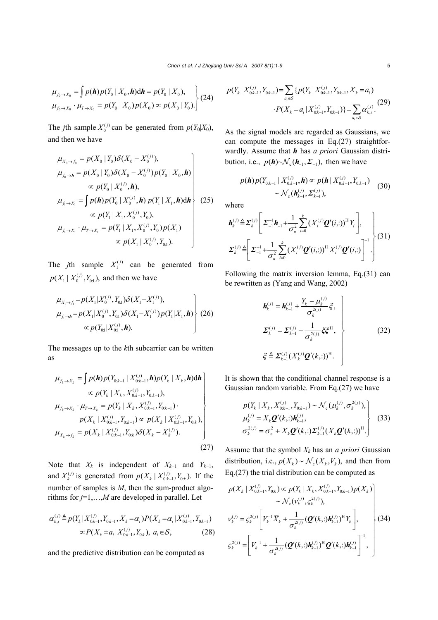$$
\mu_{f_0 \to X_0} = \int p(\mathbf{h}) p(Y_0 | X_0, \mathbf{h}) \mathrm{d}\mathbf{h} = p(Y_0 | X_0),
$$
  

$$
\mu_{f_0 \to X_0} \cdot \mu_{T \to X_0} = p(Y_0 | X_0) p(X_0) \propto p(X_0 | Y_0).
$$
 (24)

The *j*th sample  $X_0^{(j)}$  can be generated from  $p(Y_0|X_0)$ , and then we have

$$
\mu_{X_0 \to f_0} = p(X_0 | Y_0) \delta(X_0 - X_0^{(j)}), \n\mu_{f_0 \to h} = p(X_0 | Y_0) \delta(X_0 - X_0^{(j)}) p(Y_0 | X_0, h) \n\propto p(Y_0 | X_0^{(j)}, h), \n\mu_{f_1 \to X_1} = \int p(h) p(Y_0 | X_0^{(j)}, h) p(Y_1 | X_1, h) dh \n\propto p(Y_1 | X_1, X_0^{(j)}, Y_0), \n\mu_{f_1 \to X_1} \cdot \mu_{T \to X_1} = p(Y_1 | X_1, X_0^{(j)}, Y_0) p(X_1) \n\propto p(X_1 | X_0^{(j)}, Y_{0:1}).
$$
\n(25)

The *j*th sample  $X_1^{(j)}$  can be generated from  $p(X_1 | X_0^{(j)}, Y_{0:1})$ , and then we have

$$
\mu_{X_1 \to f_1} = p(X_1 | X_0^{(j)}, Y_{01}) \delta(X_1 - X_1^{(j)}), \n\mu_{f_1 \to h} = p(X_1 | X_0^{(j)}, Y_{01}) \delta(X_1 - X_1^{(j)}) p(Y_1 | X_1, h) \n\propto p(Y_{01} | X_{01}^{(j)}, h).
$$
\n(26)

The messages up to the *k*th subcarrier can be written as

$$
\mu_{f_k \to X_k} = \int p(\mathbf{h}) p(Y_{0:k-1} | X_{0:k-1}^{(j)}, \mathbf{h}) p(Y_k | X_k, \mathbf{h}) d\mathbf{h}
$$
\n
$$
\propto p(Y_k | X_k, X_{0:k-1}^{(j)}, Y_{0:k-1}),
$$
\n
$$
\mu_{f_k \to X_k} \cdot \mu_{T \to X_k} = p(Y_k | X_k, X_{0:k-1}^{(j)}, Y_{0:k-1}) \cdot p(X_k | X_{0:k-1}^{(j)}, Y_{0:k-1}) \propto p(X_k | X_{0:k-1}^{(j)}, Y_{0:k}),
$$
\n
$$
\mu_{X_k \to f_k} = p(X_k | X_{0:k-1}^{(j)}, Y_{0:k}) \delta(X_k - X_k^{(j)}).
$$
\n(27)

Note that  $X_k$  is independent of  $X_{k-1}$  and  $Y_{k-1}$ , and  $X_k^{(j)}$  is generated from  $p(X_k | X_{0:k-1}^{(j)}, Y_{0:k})$ . If the number of samples is *M*, then the sum-product algorithms for  $j=1,...,M$  are developed in parallel. Let

$$
\alpha_{k,i}^{(j)} \triangleq p(Y_k | X_{0:k-1}^{(j)}, Y_{0:k-1}, X_k = \alpha_i) P(X_k = \alpha_i | X_{0:k-1}^{(j)}, Y_{0:k-1})
$$
  
 
$$
\propto P(X_k = a_i | X_{0:k-1}^{(j)}, Y_{0:k}), a_i \in S,
$$
 (28)

and the predictive distribution can be computed as

$$
p(Y_k | X_{0k-1}^{(j)}, Y_{0k-1}) = \sum_{a_i \in \mathcal{S}} \{p(Y_k | X_{0k-1}^{(j)}, Y_{0k-1}, X_k = a_i) - P(X_k = a_i | X_{0k-1}^{(j)}, Y_{0k-1})\} = \sum_{a_i \in \mathcal{S}} \alpha_{k,i}^{(j)}.
$$
(29)

As the signal models are regarded as Gaussians, we can compute the messages in Eq.(27) straightforwardly. Assume that *h* has *a priori* Gaussian distribution, i.e.,  $p(h) \sim \mathcal{N}_c(h_-, \Sigma_-)$ , then we have

$$
p(\boldsymbol{h}) p(Y_{0:k-1} | X_{0:k-1}^{(j)}, \boldsymbol{h}) \propto p(\boldsymbol{h} | X_{0:k-1}^{(j)}, Y_{0:k-1})
$$
  
~  $\sim \mathcal{N}_c(\boldsymbol{h}_{k-1}^{(j)}, \boldsymbol{\Sigma}_{k-1}^{(j)}),$  (30)

where

$$
\boldsymbol{h}_{k}^{(j)} \triangleq \sum_{k}^{(j)} \left[ \sum_{-1}^{-1} \boldsymbol{h}_{-1} + \frac{1}{\sigma_{n}^{2}} \sum_{i=0}^{k} (X_{i}^{(j)} \boldsymbol{Q}'(i,:))^{H} Y_{i} \right],
$$
\n
$$
\sum_{k}^{(j)} \triangleq \left[ \sum_{-1}^{-1} + \frac{1}{\sigma_{n}^{2}} \sum_{i=0}^{k} (X_{i}^{(j)} \boldsymbol{Q}'(i,:))^{H} X_{i}^{(j)} \boldsymbol{Q}'(i,:) \right]^{-1} .
$$
\n(31)

Following the matrix inversion lemma, Eq.(31) can be rewritten as (Yang and Wang, 2002)

$$
\mathbf{h}_{k}^{(j)} = \mathbf{h}_{k-1}^{(j)} + \frac{Y_{k} - \mu_{k}^{(j)}}{\sigma_{k}^{2(j)}} \xi,
$$
\n
$$
\Sigma_{k}^{(j)} = \Sigma_{k-1}^{(j)} - \frac{1}{\sigma_{k}^{2(j)}} \xi \xi^{H},
$$
\n
$$
\xi \triangleq \Sigma_{k-1}^{(j)} (X_{k}^{(j)} \mathbf{Q}'(k,:))^{H}.
$$
\n(32)

It is shown that the conditional channel response is a Gaussian random variable. From Eq.(27) we have

$$
p(Y_k | X_k, X_{0:k-1}^{(j)}, Y_{0:k-1}) \sim \mathcal{N}_{\mathbf{c}}(\mu_k^{(j)}, \sigma_k^{2(j)}),
$$
  
\n
$$
\mu_k^{(j)} = X_k \mathbf{Q}'(k, :) \mathbf{h}_{k-1}^{(j)},
$$
  
\n
$$
\sigma_k^{2(j)} = \sigma_n^2 + X_k \mathbf{Q}'(k, :) \Sigma_{k-1}^{(j)} (X_k \mathbf{Q}'(k, :))^{\mathrm{H}}.
$$
\n(33)

Assume that the symbol  $X_k$  has an *a priori* Gaussian distribution, i.e.,  $p(X_k) \sim \mathcal{N}_c(\overline{X}_k, V_k)$ , and then from Eq.(27) the trial distribution can be computed as

$$
p(X_k | X_{0:k-1}^{(j)}, Y_{0:k}) \propto p(Y_k | X_k, X_{0:k-1}^{(j)}, Y_{0:k-1}) p(X_k) \\
\sim \mathcal{N}_c(\nu_k^{(j)}, \varsigma_k^{2(j)}),
$$
\n
$$
\nu_k^{(j)} = \varsigma_k^{2(j)} \left[ V_k^{-1} \overline{X}_k + \frac{1}{\sigma_k^{2(j)}} (\mathbf{Q}'(k,:) \mathbf{h}_{k-1}^{(j)})^{\mathrm{H}} Y_k \right],
$$
\n
$$
\varsigma_k^{2(j)} = \left[ V_k^{-1} + \frac{1}{\sigma_k^{2(j)}} (\mathbf{Q}'(k,:) \mathbf{h}_{k-1}^{(j)})^{\mathrm{H}} \mathbf{Q}'(k,:) \mathbf{h}_{k-1}^{(j)} \right]^{-1},
$$
\n(34)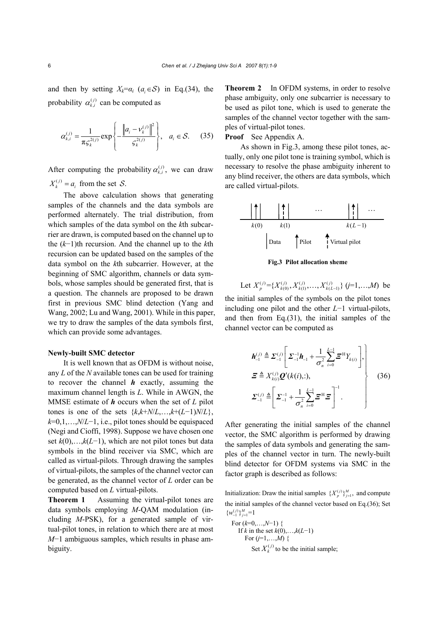and then by setting  $X_k = \alpha_i$  ( $a_i \in S$ ) in Eq.(34), the probability  $\alpha_{k,i}^{(j)}$  can be computed as

$$
\alpha_{k,i}^{(j)} = \frac{1}{\pi \varsigma_k^{2(j)}} \exp \left\{ -\frac{\left\| a_i - v_k^{(j)} \right\|^2}{\varsigma_k^{2(j)}} \right\}, \quad a_i \in \mathcal{S}. \tag{35}
$$

After computing the probability  $\alpha_{k,i}^{(j)}$ , we can draw  $X_k^{(j)} = a_i$  from the set S.

The above calculation shows that generating samples of the channels and the data symbols are performed alternately. The trial distribution, from which samples of the data symbol on the *k*th subcarrier are drawn, is computed based on the channel up to the (*k*−1)th recursion. And the channel up to the *k*th recursion can be updated based on the samples of the data symbol on the *k*th subcarrier. However, at the beginning of SMC algorithm, channels or data symbols, whose samples should be generated first, that is a question. The channels are proposed to be drawn first in previous SMC blind detection (Yang and Wang, 2002; Lu and Wang, 2001). While in this paper, we try to draw the samples of the data symbols first, which can provide some advantages.

#### **Newly-built SMC detector**

It is well known that as OFDM is without noise, any *L* of the *N* available tones can be used for training to recover the channel *h* exactly, assuming the maximum channel length is *L*. While in AWGN, the MMSE estimate of *h* occurs when the set of *L* pilot tones is one of the sets  $\{k, k+N/L, \ldots, k+(L-1)N/L\}$ , *k*=0,1,…,*N*/*L*−1, i.e., pilot tones should be equispaced (Negi and Cioffi, 1998). Suppose we have chosen one set *k*(0),…,*k*(*L*−1), which are not pilot tones but data symbols in the blind receiver via SMC, which are called as virtual-pilots. Through drawing the samples of virtual-pilots, the samples of the channel vector can be generated, as the channel vector of *L* order can be computed based on *L* virtual-pilots.

**Theorem 1** Assuming the virtual-pilot tones are data symbols employing *M*-QAM modulation (including *M*-PSK), for a generated sample of virtual-pilot tones, in relation to which there are at most *M*−1 ambiguous samples, which results in phase ambiguity.

**Theorem 2** In OFDM systems, in order to resolve phase ambiguity, only one subcarrier is necessary to be used as pilot tone, which is used to generate the samples of the channel vector together with the samples of virtual-pilot tones.

**Proof** See Appendix A.

As shown in Fig.3, among these pilot tones, actually, only one pilot tone is training symbol, which is necessary to resolve the phase ambiguity inherent to any blind receiver, the others are data symbols, which are called virtual-pilots.



**Fig.3 Pilot allocation sheme**

Let 
$$
X_p^{(j)} = \{X_{k(0)}^{(j)}, X_{k(1)}^{(j)}, \ldots, X_{k(L-1)}^{(j)}\}
$$
  $(j=1,\ldots,M)$  be

the initial samples of the symbols on the pilot tones including one pilot and the other *L*−1 virtual-pilots, and then from Eq.(31), the initial samples of the channel vector can be computed as

$$
\left\{\n \begin{aligned}\n & \mathbf{h}_{-1}^{(j)} \triangleq \mathbf{\Sigma}_{-1}^{(j)} \left[ \mathbf{\Sigma}_{-1}^{-1} \mathbf{h}_{-1} + \frac{1}{\sigma_n^2} \sum_{i=0}^{L-1} \mathbf{\Xi}^{\mathrm{H}} Y_{k(i)} \right], \\
 & \mathbf{\Xi} \triangleq X_{k(i)}^{(j)} \mathbf{\mathbf{\mathcal{Q}}}'(k(i),:), \\
 & \mathbf{\Sigma}_{-1}^{(j)} \triangleq \left[ \mathbf{\Sigma}_{-1}^{-1} + \frac{1}{\sigma_n^2} \sum_{i=0}^{L-1} \mathbf{\Xi}^{\mathrm{H}} \mathbf{\Xi} \right]^{-1}.\n \end{aligned}\n \right\}\n \tag{36}
$$

After generating the initial samples of the channel vector, the SMC algorithm is performed by drawing the samples of data symbols and generating the samples of the channel vector in turn. The newly-built blind detector for OFDM systems via SMC in the factor graph is described as follows:

Initialization: Draw the initial samples  $\{X_p^{(j)}\}_{j=1}^M$ , and compute the initial samples of the channel vector based on Eq.(36); Set  $\{w_{-1}^{(j)}\}_{j=1}^M = 1$ 

For 
$$
(k=0,...,N-1)
$$
 {  
If k in the set  $k(0),...,k(L-1)$   
For  $(j=1,...,M)$  {  
Set  $X_k^{(j)}$  to be the initial sample;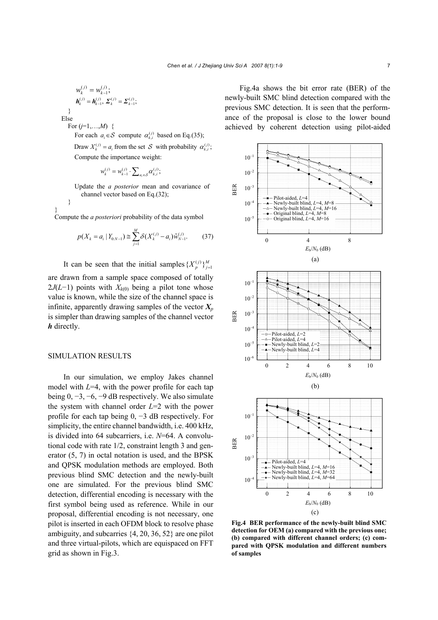$$
w_k^{(j)} = w_{k-1}^{(j)},
$$
  

$$
h_k^{(j)} = h_{k-1}^{(j)}, \Sigma_k^{(j)} = \Sigma_{k-1}^{(j)},
$$

} Else

For 
$$
(j=1,...,M)
$$
 {

For each  $a_i \in S$  compute  $\alpha_{k,i}^{(j)}$  based on Eq.(35);

Draw  $X_k^{(j)} = a_i$  from the set S with probability  $\alpha_{k,i}^{(j)}$ ; Compute the importance weight:

$$
w_k^{(j)} = w_{k-1}^{(j)} \cdot \sum_{a_i \in \mathcal{S}} \alpha_{k,i}^{(j)};
$$

Update the *a posterior* mean and covariance of channel vector based on Eq.(32);

}

}

Compute the *a posteriori* probability of the data symbol

$$
p(X_k = a_i | Y_{0:N-1}) \cong \sum_{j=1}^{M} \delta(X_k^{(j)} - a_i) \tilde{w}_{N-1}^{(j)}.
$$
 (37)

It can be seen that the initial samples  $\{X_p^{(j)}\}_{j=1}^M$ are drawn from a sample space composed of totally  $2J(L-1)$  points with  $X_{k(0)}$  being a pilot tone whose value is known, while the size of the channel space is infinite, apparently drawing samples of the vector  $X_p$ is simpler than drawing samples of the channel vector *h* directly.

## SIMULATION RESULTS

In our simulation, we employ Jakes channel model with *L*=4, with the power profile for each tap being 0, −3, −6, −9 dB respectively. We also simulate the system with channel order *L*=2 with the power profile for each tap being 0, −3 dB respectively. For simplicity, the entire channel bandwidth, i.e. 400 kHz, is divided into 64 subcarriers, i.e. *N*=64. A convolutional code with rate 1/2, constraint length 3 and generator (5, 7) in octal notation is used, and the BPSK and QPSK modulation methods are employed. Both previous blind SMC detection and the newly-built one are simulated. For the previous blind SMC detection, differential encoding is necessary with the first symbol being used as reference. While in our proposal, differential encoding is not necessary, one pilot is inserted in each OFDM block to resolve phase ambiguity, and subcarries {4, 20, 36, 52} are one pilot and three virtual-pilots, which are equispaced on FFT grid as shown in Fig.3.

Fig.4a shows the bit error rate (BER) of the newly-built SMC blind detection compared with the previous SMC detection. It is seen that the performance of the proposal is close to the lower bound achieved by coherent detection using pilot-aided



**Fig.4 BER performance of the newly-built blind SMC detection for OEM (a) compared with the previous one; (b) compared with different channel orders; (c) compared with QPSK modulation and different numbers of samples**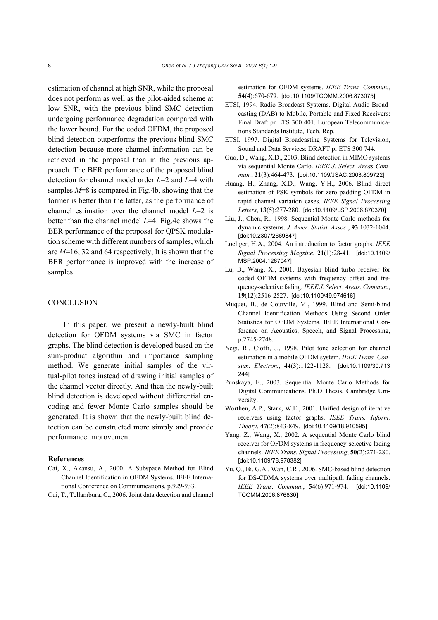estimation of channel at high SNR, while the proposal does not perform as well as the pilot-aided scheme at low SNR, with the previous blind SMC detection undergoing performance degradation compared with the lower bound. For the coded OFDM, the proposed blind detection outperforms the previous blind SMC detection because more channel information can be retrieved in the proposal than in the previous approach. The BER performance of the proposed blind detection for channel model order *L*=2 and *L*=4 with samples *M*=8 is compared in Fig.4b, showing that the former is better than the latter, as the performance of channel estimation over the channel model *L*=2 is better than the channel model *L*=4. Fig.4c shows the BER performance of the proposal for QPSK modulation scheme with different numbers of samples, which are *M*=16, 32 and 64 respectively, It is shown that the BER performance is improved with the increase of samples.

## **CONCLUSION**

In this paper, we present a newly-built blind detection for OFDM systems via SMC in factor graphs. The blind detection is developed based on the sum-product algorithm and importance sampling method. We generate initial samples of the virtual-pilot tones instead of drawing initial samples of the channel vector directly. And then the newly-built blind detection is developed without differential encoding and fewer Monte Carlo samples should be generated. It is shown that the newly-built blind detection can be constructed more simply and provide performance improvement.

#### **References**

- Cai, X., Akansu, A., 2000. A Subspace Method for Blind Channel Identification in OFDM Systems. IEEE International Conference on Communications, p.929-933.
- Cui, T., Tellambura, C., 2006. Joint data detection and channel

estimation for OFDM systems. *IEEE Trans. Commun.*, **54**(4):670-679. [doi:10.1109/TCOMM.2006.873075]

- ETSI, 1994. Radio Broadcast Systems. Digital Audio Broadcasting (DAB) to Mobile, Portable and Fixed Receivers: Final Draft pr ETS 300 401. European Telecommunications Standards Institute, Tech. Rep.
- ETSI, 1997. Digital Broadcasting Systems for Television, Sound and Data Services: DRAFT pr ETS 300 744.
- Guo, D., Wang, X.D., 2003. Blind detection in MIMO systems via sequential Monte Carlo. *IEEE J. Select. Areas Commun.*, **21**(3):464-473. [doi:10.1109/JSAC.2003.809722]
- Huang, H., Zhang, X.D., Wang, Y.H., 2006. Blind direct estimation of PSK symbols for zero padding OFDM in rapid channel variation cases. *IEEE Signal Processing Letters*, **13**(5):277-280. [doi:10.1109/LSP.2006.870370]
- Liu, J., Chen, R., 1998. Sequential Monte Carlo methods for dynamic systems. *J. Amer. Statist. Assoc.*, **93**:1032-1044. [doi:10.2307/2669847]
- Loeliger, H.A., 2004. An introduction to factor graphs. *IEEE Signal Processing Magzine*, **21**(1):28-41. [doi:10.1109/ MSP.2004.1267047]
- Lu, B., Wang, X., 2001. Bayesian blind turbo receiver for coded OFDM systems with frequency offset and frequency-selective fading. *IEEE J. Select. Areas. Commun.*, **19**(12):2516-2527. [doi:10.1109/49.974616]
- Muquet, B., de Courville, M., 1999. Blind and Semi-blind Channel Identification Methods Using Second Order Statistics for OFDM Systems. IEEE International Conference on Acoustics, Speech, and Signal Processing, p.2745-2748.
- Negi, R., Cioffi, J., 1998. Pilot tone selection for channel estimation in a mobile OFDM system. *IEEE Trans. Consum. Electron.*, **44**(3):1122-1128. [doi:10.1109/30.713 244]
- Punskaya, E., 2003. Sequential Monte Carlo Methods for Digital Communications. Ph.D Thesis, Cambridge University.
- Worthen, A.P., Stark, W.E., 2001. Unified design of iterative receivers using factor graphs. *IEEE Trans. Inform. Theory*, **47**(2):843-849. [doi:10.1109/18.910595]
- Yang, Z., Wang, X., 2002. A sequential Monte Carlo blind receiver for OFDM systems in frequency-selective fading channels. *IEEE Trans. Signal Processing*, **50**(2):271-280. [doi:10.1109/78.978382]
- Yu, Q., Bi, G.A., Wan, C.R., 2006. SMC-based blind detection for DS-CDMA systems over multipath fading channels. *IEEE Trans. Commun.*, **54**(6):971-974. [doi:10.1109/ TCOMM.2006.876830]